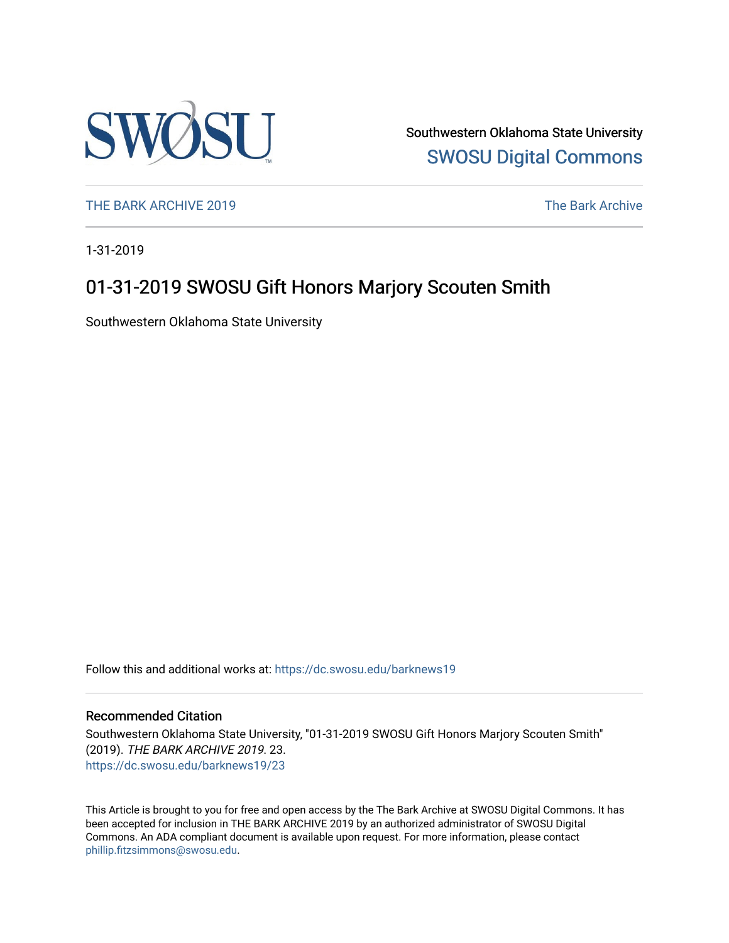

Southwestern Oklahoma State University [SWOSU Digital Commons](https://dc.swosu.edu/) 

[THE BARK ARCHIVE 2019](https://dc.swosu.edu/barknews19) The Bark Archive

1-31-2019

### 01-31-2019 SWOSU Gift Honors Marjory Scouten Smith

Southwestern Oklahoma State University

Follow this and additional works at: [https://dc.swosu.edu/barknews19](https://dc.swosu.edu/barknews19?utm_source=dc.swosu.edu%2Fbarknews19%2F23&utm_medium=PDF&utm_campaign=PDFCoverPages)

#### Recommended Citation

Southwestern Oklahoma State University, "01-31-2019 SWOSU Gift Honors Marjory Scouten Smith" (2019). THE BARK ARCHIVE 2019. 23. [https://dc.swosu.edu/barknews19/23](https://dc.swosu.edu/barknews19/23?utm_source=dc.swosu.edu%2Fbarknews19%2F23&utm_medium=PDF&utm_campaign=PDFCoverPages) 

This Article is brought to you for free and open access by the The Bark Archive at SWOSU Digital Commons. It has been accepted for inclusion in THE BARK ARCHIVE 2019 by an authorized administrator of SWOSU Digital Commons. An ADA compliant document is available upon request. For more information, please contact [phillip.fitzsimmons@swosu.edu](mailto:phillip.fitzsimmons@swosu.edu).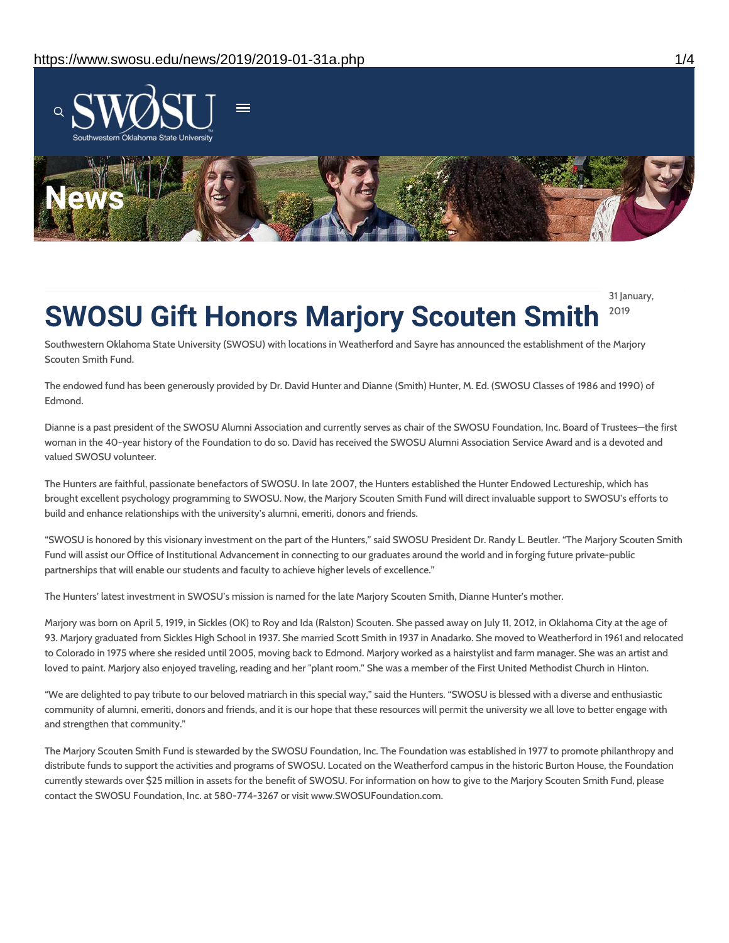

31 January,

2019

# **SWOSU Gift Honors Marjory Scouten Smith**

Southwestern Oklahoma State University (SWOSU) with locations in Weatherford and Sayre has announced the establishment of the Marjory Scouten Smith Fund.

The endowed fund has been generously provided by Dr. David Hunter and Dianne (Smith) Hunter, M. Ed. (SWOSU Classes of 1986 and 1990) of Edmond.

Dianne is a past president of the SWOSU Alumni Association and currently serves as chair of the SWOSU Foundation, Inc. Board of Trustees—the first woman in the 40-year history of the Foundation to do so. David has received the SWOSU Alumni Association Service Award and is a devoted and valued SWOSU volunteer.

The Hunters are faithful, passionate benefactors of SWOSU. In late 2007, the Hunters established the Hunter Endowed Lectureship, which has brought excellent psychology programming to SWOSU. Now, the Marjory Scouten Smith Fund will direct invaluable support to SWOSU's efforts to build and enhance relationships with the university's alumni, emeriti, donors and friends.

"SWOSU is honored by this visionary investment on the part of the Hunters," said SWOSU President Dr. Randy L. Beutler. "The Marjory Scouten Smith Fund will assist our Office of Institutional Advancement in connecting to our graduates around the world and in forging future private-public partnerships that will enable our students and faculty to achieve higher levels of excellence."

The Hunters' latest investment in SWOSU's mission is named for the late Marjory Scouten Smith, Dianne Hunter's mother.

Marjory was born on April 5, 1919, in Sickles (OK) to Roy and Ida (Ralston) Scouten. She passed away on July 11, 2012, in Oklahoma City at the age of 93. Marjory graduated from Sickles High School in 1937. She married Scott Smith in 1937 in Anadarko. She moved to Weatherford in 1961 and relocated to Colorado in 1975 where she resided until 2005, moving back to Edmond. Marjory worked as a hairstylist and farm manager. She was an artist and loved to paint. Marjory also enjoyed traveling, reading and her "plant room." She was a member of the First United Methodist Church in Hinton.

"We are delighted to pay tribute to our beloved matriarch in this special way," said the Hunters. "SWOSU is blessed with a diverse and enthusiastic community of alumni, emeriti, donors and friends, and it is our hope that these resources will permit the university we all love to better engage with and strengthen that community."

The Marjory Scouten Smith Fund is stewarded by the SWOSU Foundation, Inc. The Foundation was established in 1977 to promote philanthropy and distribute funds to support the activities and programs of SWOSU. Located on the Weatherford campus in the historic Burton House, the Foundation currently stewards over \$25 million in assets for the benefit of SWOSU. For information on how to give to the Marjory Scouten Smith Fund, please contact the SWOSU Foundation, Inc. at 580-774-3267 or visit www.SWOSUFoundation.com.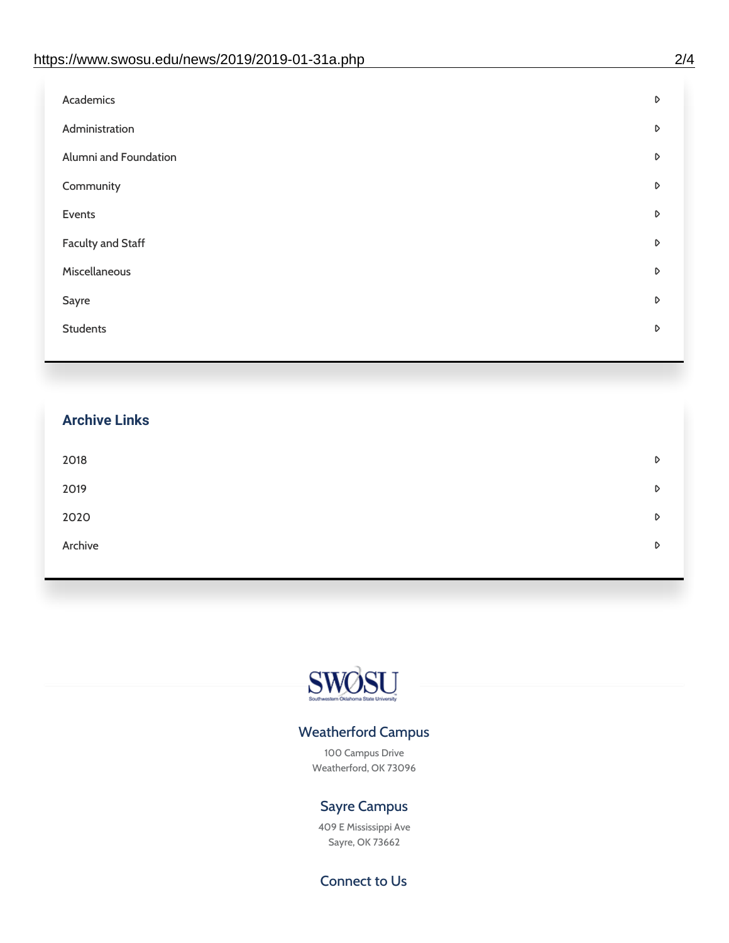| Administration<br>D<br>Alumni and Foundation<br>D<br>Community<br>D<br>Events<br>D | Academics | D |
|------------------------------------------------------------------------------------|-----------|---|
|                                                                                    |           |   |
|                                                                                    |           |   |
|                                                                                    |           |   |
|                                                                                    |           |   |
| <b>Faculty and Staff</b><br>D                                                      |           |   |
| Miscellaneous<br>D                                                                 |           |   |
| Sayre<br>D                                                                         |           |   |
| <b>Students</b><br>D                                                               |           |   |

## **Archive Links**  $2018$  $2019$ [2020](https://www.swosu.edu/news/2020/index.php)  $\bullet$ [Archive](https://dc.swosu.edu/bark/) **Archive Archive Archive Archive Archive** Archive Archive Archive Archive Archive Archive Archive Archive



### Weatherford Campus

100 Campus Drive Weatherford, OK 73096

### Sayre Campus

409 E Mississippi Ave Sayre, OK 73662

Connect to Us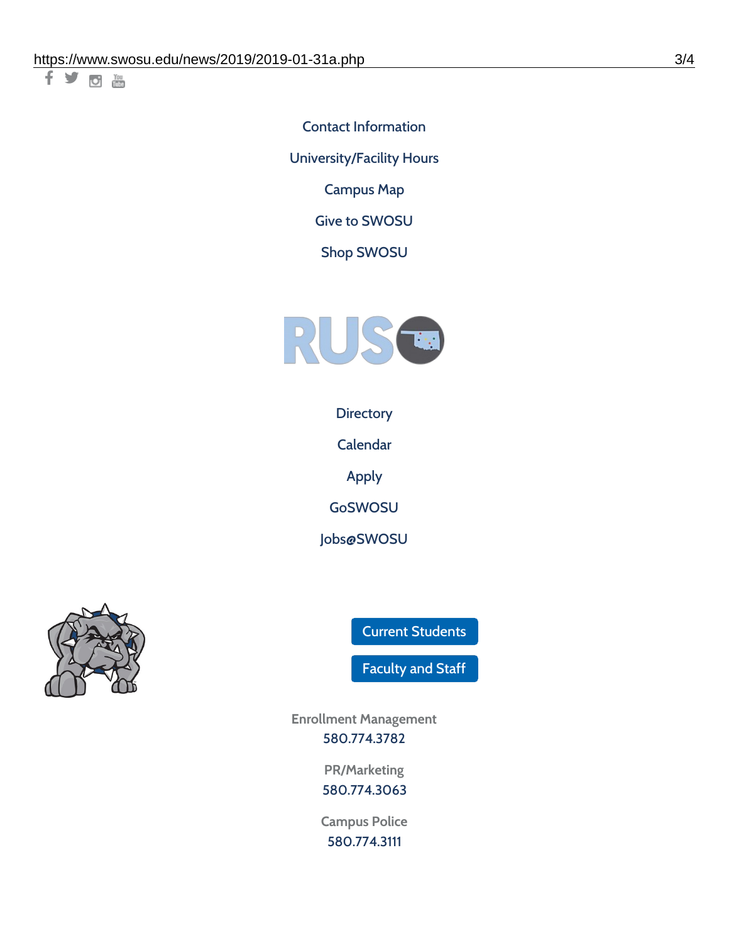千岁回调

Contact [Information](https://www.swosu.edu/about/contact.php) [University/Facility](https://www.swosu.edu/about/operating-hours.php) Hours [Campus](https://map.concept3d.com/?id=768#!ct/10964,10214,10213,10212,10205,10204,10203,10202,10136,10129,10128,0,31226,10130,10201,10641,0) Map

Give to [SWOSU](https://standingfirmly.com/donate)

Shop [SWOSU](https://shopswosu.merchorders.com/)



**[Directory](https://www.swosu.edu/directory/index.php)** 

[Calendar](https://eventpublisher.dudesolutions.com/swosu/)

[Apply](https://www.swosu.edu/admissions/apply-to-swosu.php)

[GoSWOSU](https://qlsso.quicklaunchsso.com/home/1267)

[Jobs@SWOSU](https://swosu.csod.com/ux/ats/careersite/1/home?c=swosu)



Current [Students](https://bulldog.swosu.edu/index.php)

[Faculty](https://bulldog.swosu.edu/faculty-staff/index.php) and Staff

**Enrollment Management** [580.774.3782](tel:5807743782)

> **PR/Marketing** [580.774.3063](tel:5807743063)

**Campus Police** [580.774.3111](tel:5807743111)